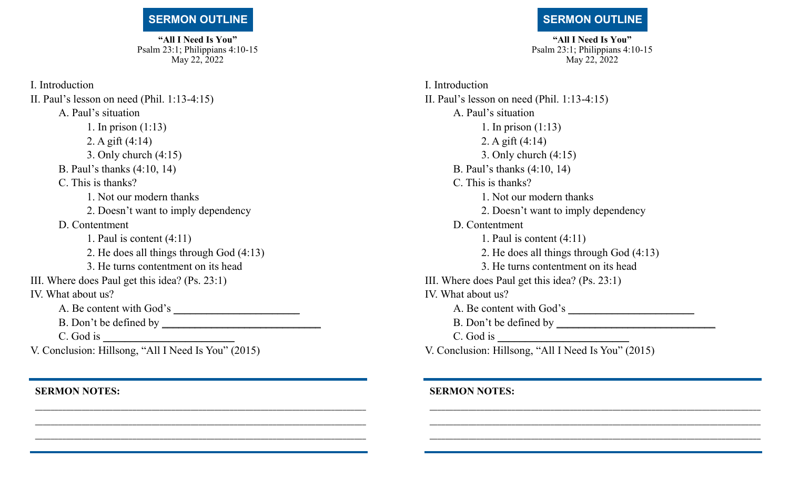## **SERMON OUTLINE**

**"All I Need Is You"** Psalm 23:1; Philippians 4:10-15 May 22, 2022

I. Introduction II. Paul's lesson on need (Phil. 1:13-4:15) A. Paul's situation 1. In prison (1:13) 2. A gift (4:14) 3. Only church (4:15) B. Paul's thanks (4:10, 14) C. This is thanks? 1. Not our modern thanks 2. Doesn't want to imply dependency D. Contentment 1. Paul is content (4:11) 2. He does all things through God (4:13) 3. He turns contentment on its head III. Where does Paul get this idea? (Ps. 23:1) IV. What about us? A. Be content with God's \_\_\_\_\_\_\_\_\_\_\_\_\_\_\_\_\_\_\_\_\_\_\_ B. Don't be defined by \_\_\_\_\_\_\_\_\_\_\_\_\_\_\_\_\_\_\_\_\_\_\_\_\_\_\_\_\_ C. God is

V. Conclusion: Hillsong, "All I Need Is You" (2015)

\_\_\_\_\_\_\_\_\_\_\_\_\_\_\_\_\_\_\_\_\_\_\_\_\_\_\_\_\_\_\_\_\_\_\_\_\_\_\_\_\_\_\_\_\_\_\_\_\_\_\_\_\_\_\_\_\_\_\_\_\_\_\_\_\_\_\_\_\_\_\_\_\_\_\_\_\_\_\_\_\_\_\_\_\_ \_\_\_\_\_\_\_\_\_\_\_\_\_\_\_\_\_\_\_\_\_\_\_\_\_\_\_\_\_\_\_\_\_\_\_\_\_\_\_\_\_\_\_\_\_\_\_\_\_\_\_\_\_\_\_\_\_\_\_\_\_\_\_\_\_\_\_\_\_\_\_\_\_\_\_\_\_\_\_\_\_\_\_\_\_ \_\_\_\_\_\_\_\_\_\_\_\_\_\_\_\_\_\_\_\_\_\_\_\_\_\_\_\_\_\_\_\_\_\_\_\_\_\_\_\_\_\_\_\_\_\_\_\_\_\_\_\_\_\_\_\_\_\_\_\_\_\_\_\_\_\_\_\_\_\_\_\_\_\_\_\_\_\_\_\_\_\_\_\_\_

**SERMON NOTES:** 

## **SERMON OUTLINE**

**"All I Need Is You"** Psalm 23:1; Philippians 4:10-15 May 22, 2022

I. Introduction II. Paul's lesson on need (Phil. 1:13-4:15) A. Paul's situation 1. In prison (1:13) 2. A gift (4:14) 3. Only church (4:15) B. Paul's thanks (4:10, 14) C. This is thanks? 1. Not our modern thanks 2. Doesn't want to imply dependency D. Contentment 1. Paul is content (4:11) 2. He does all things through God (4:13) 3. He turns contentment on its head III. Where does Paul get this idea? (Ps. 23:1) IV. What about us? A. Be content with God's \_\_\_\_\_\_\_\_\_\_\_\_\_\_\_\_\_\_\_\_\_\_\_ B. Don't be defined by \_\_\_\_\_\_\_\_\_\_\_\_\_\_\_\_\_\_\_\_\_\_\_\_\_\_\_\_\_ C. God is V. Conclusion: Hillsong, "All I Need Is You" (2015)

\_\_\_\_\_\_\_\_\_\_\_\_\_\_\_\_\_\_\_\_\_\_\_\_\_\_\_\_\_\_\_\_\_\_\_\_\_\_\_\_\_\_\_\_\_\_\_\_\_\_\_\_\_\_\_\_\_\_\_\_\_\_\_\_\_\_\_\_\_\_\_\_\_\_\_\_\_\_\_\_\_\_\_\_\_ \_\_\_\_\_\_\_\_\_\_\_\_\_\_\_\_\_\_\_\_\_\_\_\_\_\_\_\_\_\_\_\_\_\_\_\_\_\_\_\_\_\_\_\_\_\_\_\_\_\_\_\_\_\_\_\_\_\_\_\_\_\_\_\_\_\_\_\_\_\_\_\_\_\_\_\_\_\_\_\_\_\_\_\_\_ \_\_\_\_\_\_\_\_\_\_\_\_\_\_\_\_\_\_\_\_\_\_\_\_\_\_\_\_\_\_\_\_\_\_\_\_\_\_\_\_\_\_\_\_\_\_\_\_\_\_\_\_\_\_\_\_\_\_\_\_\_\_\_\_\_\_\_\_\_\_\_\_\_\_\_\_\_\_\_\_\_\_\_\_\_

## **SERMON NOTES:**